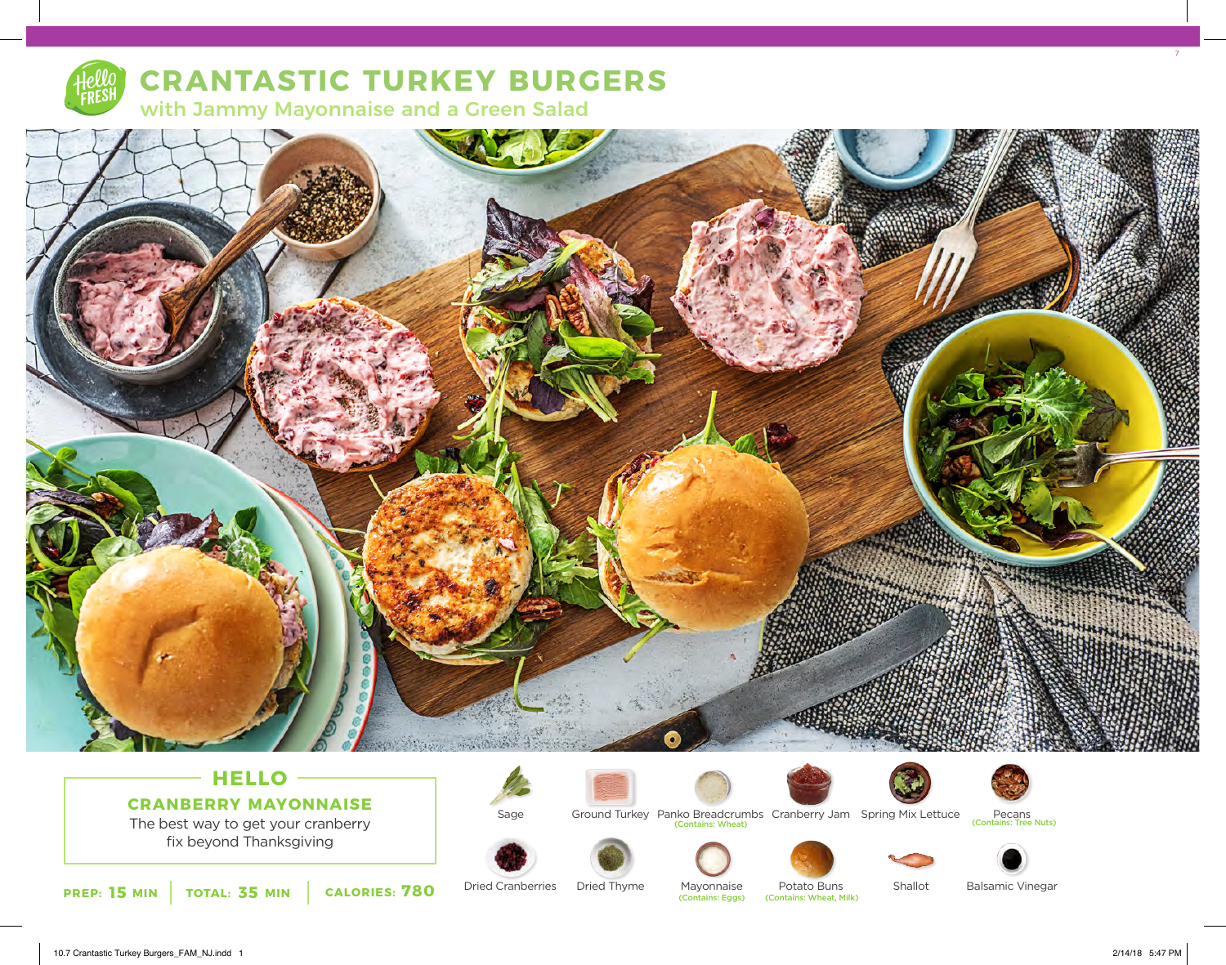

# **CRANTASTIC TURKEY BURGERS**

with Jammy Mayonnaise and a Green Salad



# **HELLO CRANBERRY MAYONNAISE**

The best way to get your cranberry fix beyond Thanksgiving









Ground Turkey Panko Breadcrumbs Cranberry Jam Spring Mix Lettuce Pecans<br>Contains: Tree Nuts) (Contains: Wheat) Pecans<br>(Contains: Tree Nuts)









Shallot



**PREP: 15** MIN **TOTAL: 35 MIN CALORIES: 780** Dried Cranberries Dried Inyme Mayonnaise Potato Buns (Contains: Wheat, Milk)

Dried Thyme Dried Cranberries

Mayonnaise (Contains: Eggs) Potato Buns<br>(Contains: Wheat, Milk)

Balsamic Vinegar

7